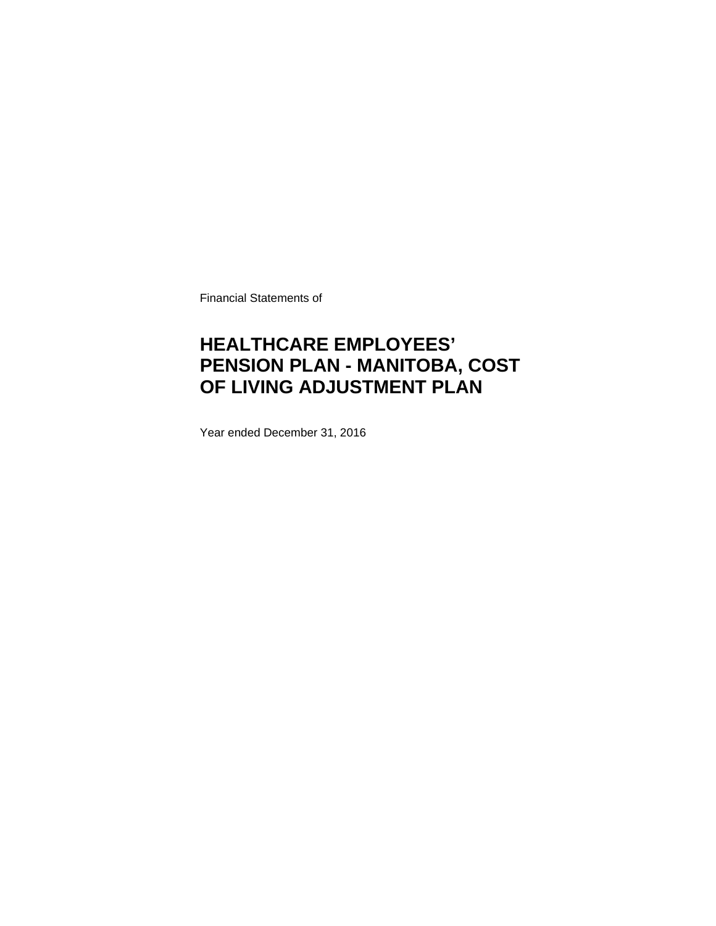Financial Statements of

## **HEALTHCARE EMPLOYEES' PENSION PLAN - MANITOBA, COST OF LIVING ADJUSTMENT PLAN**

Year ended December 31, 2016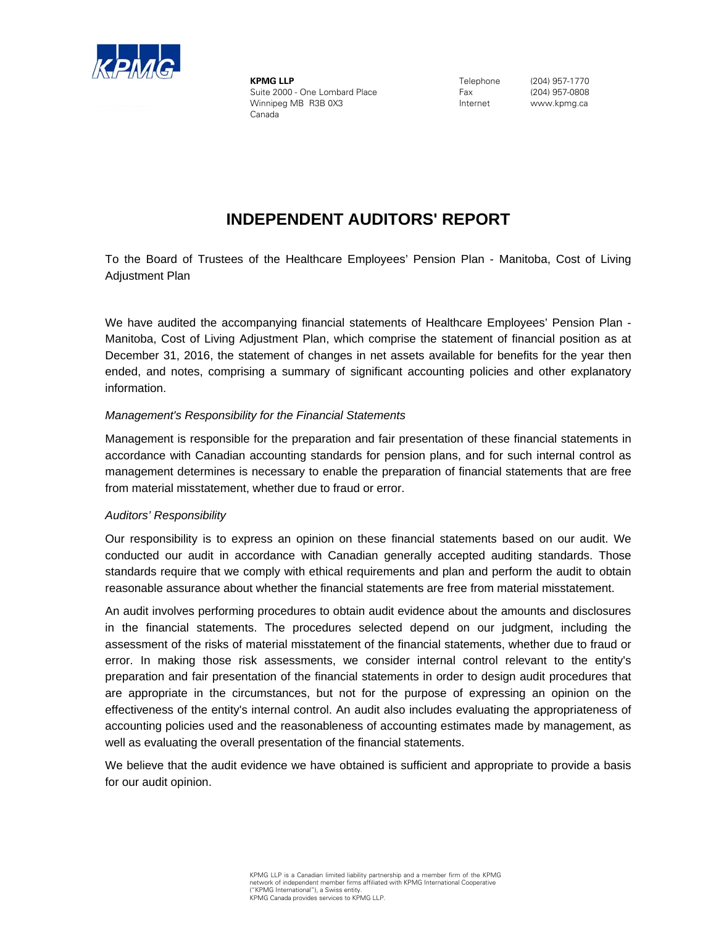

**KPMG LLP** Suite 2000 - One Lombard Place Winnipeg MB R3B 0X3 Canada

Telephone Fax Internet

(204) 957-1770 (204) 957-0808 www.kpmg.ca

### **INDEPENDENT AUDITORS' REPORT**

To the Board of Trustees of the Healthcare Employees' Pension Plan - Manitoba, Cost of Living Adjustment Plan

We have audited the accompanying financial statements of Healthcare Employees' Pension Plan - Manitoba, Cost of Living Adjustment Plan, which comprise the statement of financial position as at December 31, 2016, the statement of changes in net assets available for benefits for the year then ended, and notes, comprising a summary of significant accounting policies and other explanatory information.

### *Management's Responsibility for the Financial Statements*

Management is responsible for the preparation and fair presentation of these financial statements in accordance with Canadian accounting standards for pension plans, and for such internal control as management determines is necessary to enable the preparation of financial statements that are free from material misstatement, whether due to fraud or error.

#### *Auditors' Responsibility*

Our responsibility is to express an opinion on these financial statements based on our audit. We conducted our audit in accordance with Canadian generally accepted auditing standards. Those standards require that we comply with ethical requirements and plan and perform the audit to obtain reasonable assurance about whether the financial statements are free from material misstatement.

An audit involves performing procedures to obtain audit evidence about the amounts and disclosures in the financial statements. The procedures selected depend on our judgment, including the assessment of the risks of material misstatement of the financial statements, whether due to fraud or error. In making those risk assessments, we consider internal control relevant to the entity's preparation and fair presentation of the financial statements in order to design audit procedures that are appropriate in the circumstances, but not for the purpose of expressing an opinion on the effectiveness of the entity's internal control. An audit also includes evaluating the appropriateness of accounting policies used and the reasonableness of accounting estimates made by management, as well as evaluating the overall presentation of the financial statements.

We believe that the audit evidence we have obtained is sufficient and appropriate to provide a basis for our audit opinion.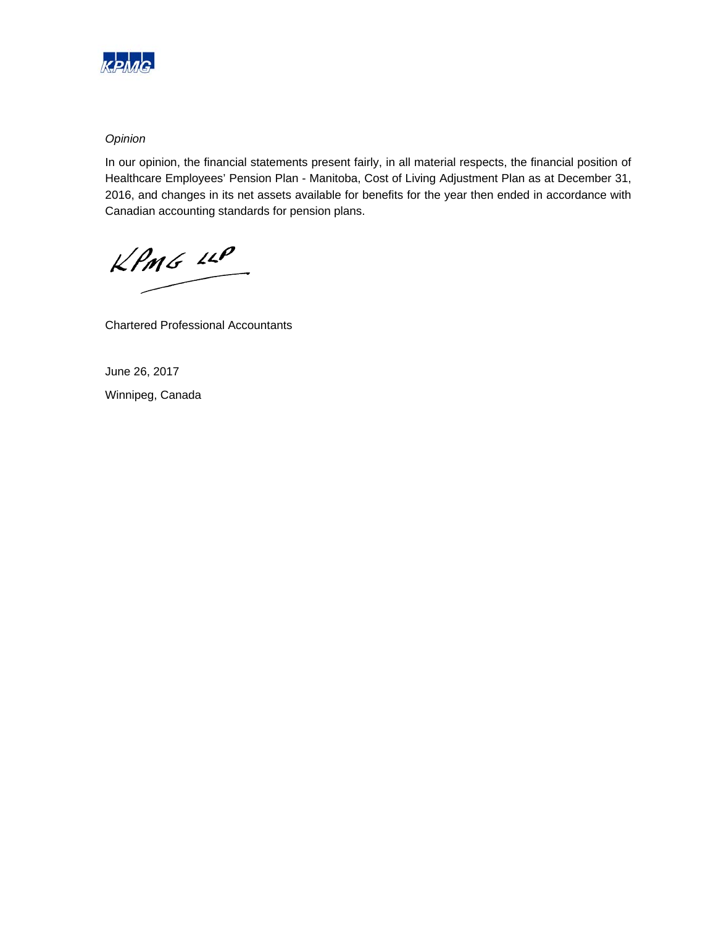

### *Opinion*

In our opinion, the financial statements present fairly, in all material respects, the financial position of Healthcare Employees' Pension Plan - Manitoba, Cost of Living Adjustment Plan as at December 31, 2016, and changes in its net assets available for benefits for the year then ended in accordance with Canadian accounting standards for pension plans.

 $KPMG$  14P

Chartered Professional Accountants

June 26, 2017 Winnipeg, Canada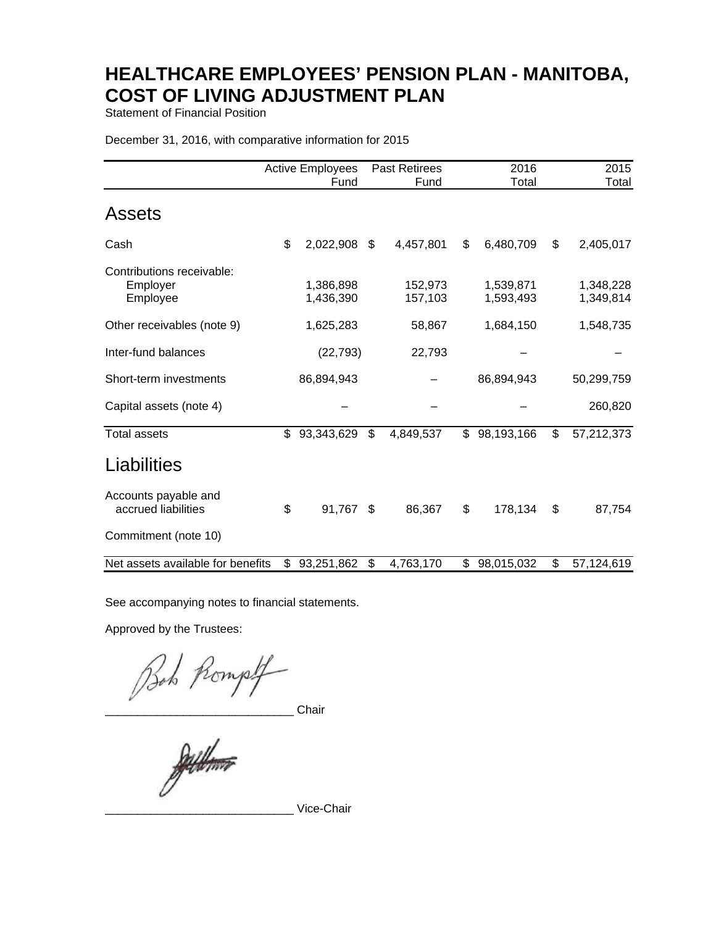Statement of Financial Position

#### December 31, 2016, with comparative information for 2015

|                                                   | <b>Active Employees</b> | <b>Past Retirees</b> | 2016                   | 2015                   |
|---------------------------------------------------|-------------------------|----------------------|------------------------|------------------------|
|                                                   | Fund                    | Fund                 | Total                  | Total                  |
| <b>Assets</b>                                     |                         |                      |                        |                        |
| Cash                                              | \$<br>2,022,908         | \$<br>4,457,801      | \$<br>6,480,709        | \$<br>2,405,017        |
| Contributions receivable:<br>Employer<br>Employee | 1,386,898<br>1,436,390  | 152,973<br>157,103   | 1,539,871<br>1,593,493 | 1,348,228<br>1,349,814 |
| Other receivables (note 9)                        | 1,625,283               | 58,867               | 1,684,150              | 1,548,735              |
| Inter-fund balances                               | (22, 793)               | 22,793               |                        |                        |
| Short-term investments                            | 86,894,943              |                      | 86,894,943             | 50,299,759             |
| Capital assets (note 4)                           |                         |                      |                        | 260,820                |
| <b>Total assets</b>                               | \$<br>93,343,629        | \$<br>4,849,537      | \$<br>98,193,166       | \$<br>57,212,373       |
| Liabilities                                       |                         |                      |                        |                        |
| Accounts payable and<br>accrued liabilities       | \$<br>91,767            | \$<br>86,367         | \$<br>178,134          | \$<br>87,754           |
| Commitment (note 10)                              |                         |                      |                        |                        |
| Net assets available for benefits                 | \$<br>93,251,862        | \$<br>4,763,170      | \$<br>98,015,032       | \$<br>57,124,619       |

See accompanying notes to financial statements.

Approved by the Trustees:

Boh Prompt

\_\_\_\_\_\_\_\_\_\_\_\_\_\_\_\_\_\_\_\_\_\_\_\_\_\_\_\_\_ Vice-Chair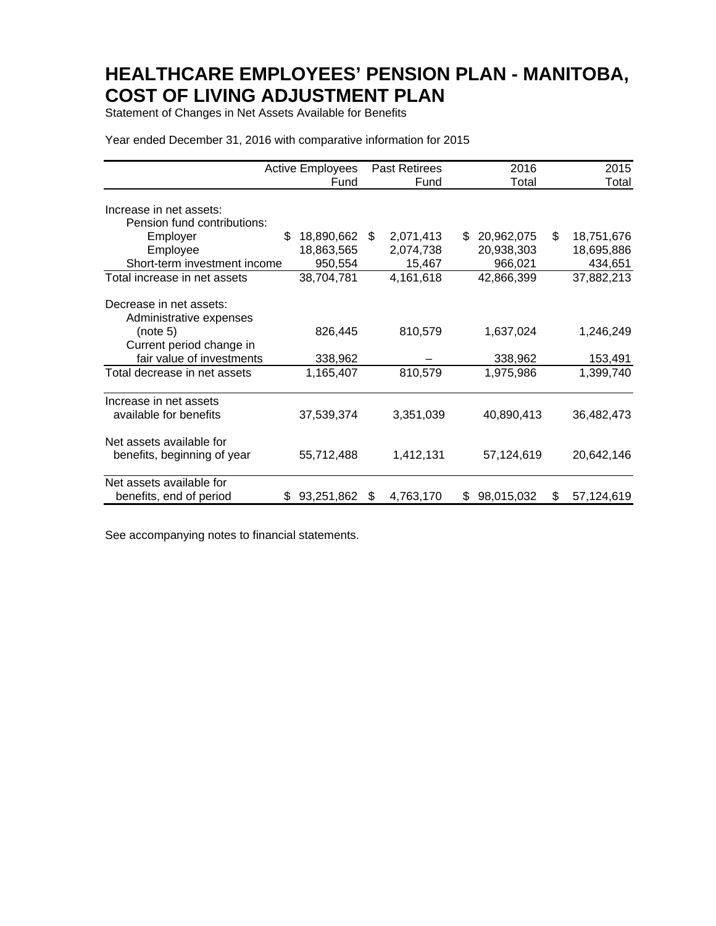Statement of Changes in Net Assets Available for Benefits

|  |  | Year ended December 31, 2016 with comparative information for 2015 |
|--|--|--------------------------------------------------------------------|
|--|--|--------------------------------------------------------------------|

|                                                         | <b>Active Employees</b>  | <b>Past Retirees</b>         | 2016                            |    | 2015                     |
|---------------------------------------------------------|--------------------------|------------------------------|---------------------------------|----|--------------------------|
|                                                         | Fund                     | Fund                         | Total                           |    | Total                    |
| Increase in net assets:                                 |                          |                              |                                 |    |                          |
| Pension fund contributions:                             | \$                       |                              |                                 |    |                          |
| Employer<br>Employee                                    | 18,890,662<br>18,863,565 | 2,071,413<br>S.<br>2,074,738 | 20,962,075<br>\$.<br>20,938,303 | \$ | 18,751,676<br>18,695,886 |
| Short-term investment income                            | 950,554                  | 15,467                       | 966,021                         |    | 434,651                  |
| Total increase in net assets                            | 38,704,781               | 4,161,618                    | 42,866,399                      |    | 37,882,213               |
| Decrease in net assets:<br>Administrative expenses      |                          |                              |                                 |    |                          |
| (note 5)                                                | 826,445                  | 810,579                      | 1,637,024                       |    | 1,246,249                |
| Current period change in<br>fair value of investments   | 338,962                  |                              | 338,962                         |    | 153,491                  |
| Total decrease in net assets                            | 1,165,407                | 810,579                      | 1,975,986                       |    | 1,399,740                |
| Increase in net assets<br>available for benefits        | 37,539,374               | 3,351,039                    | 40,890,413                      |    | 36,482,473               |
| Net assets available for<br>benefits, beginning of year | 55,712,488               | 1,412,131                    | 57,124,619                      |    | 20,642,146               |
| Net assets available for<br>benefits, end of period     | 93,251,862<br>SS.        | 4,763,170<br>S               | 98,015,032<br>\$.               | S  | 57,124,619               |

See accompanying notes to financial statements.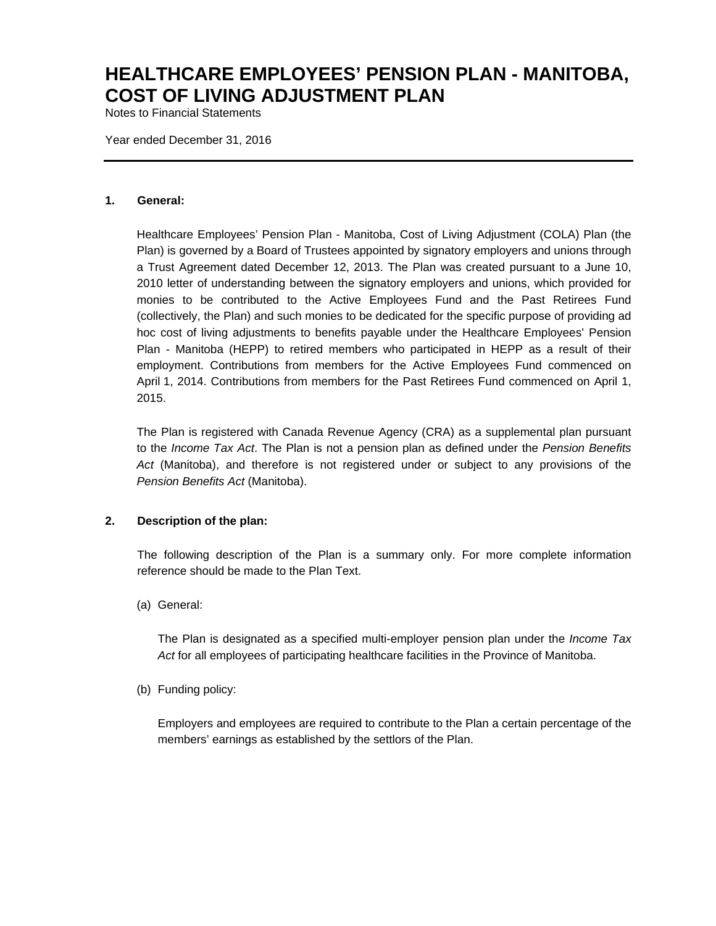Notes to Financial Statements

Year ended December 31, 2016

#### **1. General:**

Healthcare Employees' Pension Plan - Manitoba, Cost of Living Adjustment (COLA) Plan (the Plan) is governed by a Board of Trustees appointed by signatory employers and unions through a Trust Agreement dated December 12, 2013. The Plan was created pursuant to a June 10, 2010 letter of understanding between the signatory employers and unions, which provided for monies to be contributed to the Active Employees Fund and the Past Retirees Fund (collectively, the Plan) and such monies to be dedicated for the specific purpose of providing ad hoc cost of living adjustments to benefits payable under the Healthcare Employees' Pension Plan - Manitoba (HEPP) to retired members who participated in HEPP as a result of their employment. Contributions from members for the Active Employees Fund commenced on April 1, 2014. Contributions from members for the Past Retirees Fund commenced on April 1, 2015.

The Plan is registered with Canada Revenue Agency (CRA) as a supplemental plan pursuant to the *Income Tax Act*. The Plan is not a pension plan as defined under the *Pension Benefits Act* (Manitoba), and therefore is not registered under or subject to any provisions of the *Pension Benefits Act* (Manitoba).

### **2. Description of the plan:**

The following description of the Plan is a summary only. For more complete information reference should be made to the Plan Text.

(a) General:

The Plan is designated as a specified multi-employer pension plan under the *Income Tax*  Act for all employees of participating healthcare facilities in the Province of Manitoba.

(b) Funding policy:

Employers and employees are required to contribute to the Plan a certain percentage of the members' earnings as established by the settlors of the Plan.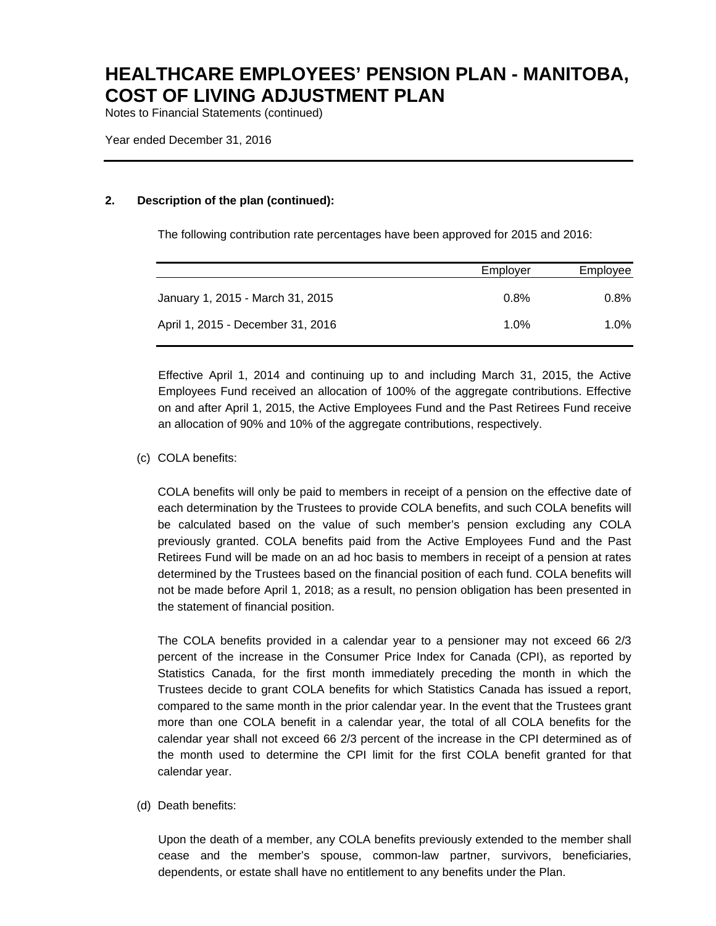Notes to Financial Statements (continued)

Year ended December 31, 2016

#### **2. Description of the plan (continued):**

The following contribution rate percentages have been approved for 2015 and 2016:

|                                   | Employer | Employee |
|-----------------------------------|----------|----------|
| January 1, 2015 - March 31, 2015  | 0.8%     | $0.8\%$  |
| April 1, 2015 - December 31, 2016 | $1.0\%$  | $1.0\%$  |

Effective April 1, 2014 and continuing up to and including March 31, 2015, the Active Employees Fund received an allocation of 100% of the aggregate contributions. Effective on and after April 1, 2015, the Active Employees Fund and the Past Retirees Fund receive an allocation of 90% and 10% of the aggregate contributions, respectively.

(c) COLA benefits:

COLA benefits will only be paid to members in receipt of a pension on the effective date of each determination by the Trustees to provide COLA benefits, and such COLA benefits will be calculated based on the value of such member's pension excluding any COLA previously granted. COLA benefits paid from the Active Employees Fund and the Past Retirees Fund will be made on an ad hoc basis to members in receipt of a pension at rates determined by the Trustees based on the financial position of each fund. COLA benefits will not be made before April 1, 2018; as a result, no pension obligation has been presented in the statement of financial position.

The COLA benefits provided in a calendar year to a pensioner may not exceed 66 2/3 percent of the increase in the Consumer Price Index for Canada (CPI), as reported by Statistics Canada, for the first month immediately preceding the month in which the Trustees decide to grant COLA benefits for which Statistics Canada has issued a report, compared to the same month in the prior calendar year. In the event that the Trustees grant more than one COLA benefit in a calendar year, the total of all COLA benefits for the calendar year shall not exceed 66 2/3 percent of the increase in the CPI determined as of the month used to determine the CPI limit for the first COLA benefit granted for that calendar year.

(d) Death benefits:

Upon the death of a member, any COLA benefits previously extended to the member shall cease and the member's spouse, common-law partner, survivors, beneficiaries, dependents, or estate shall have no entitlement to any benefits under the Plan.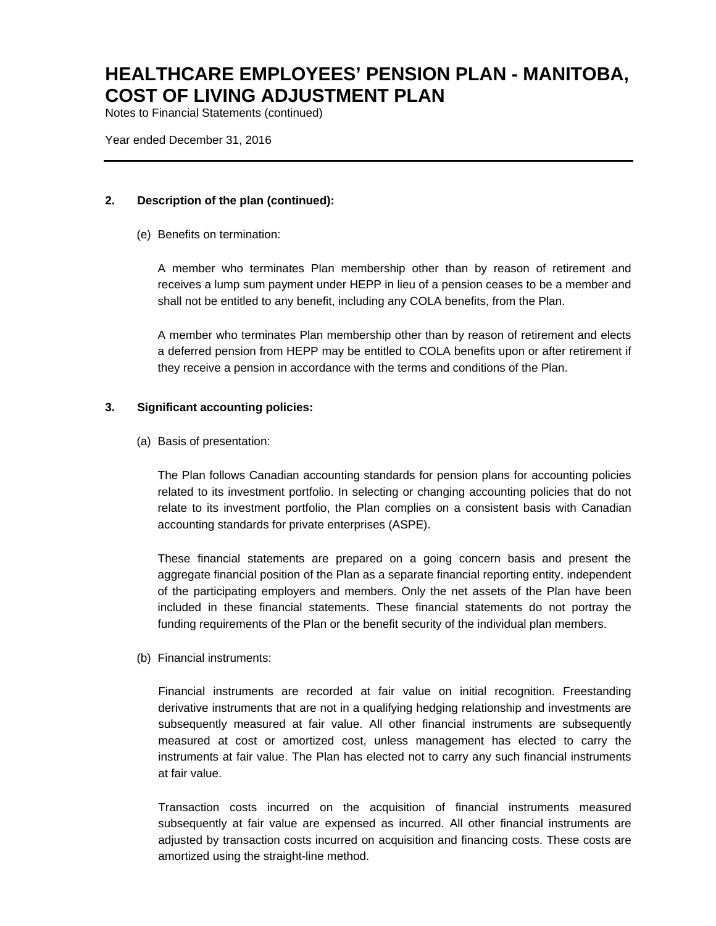Notes to Financial Statements (continued)

Year ended December 31, 2016

#### **2. Description of the plan (continued):**

(e) Benefits on termination:

A member who terminates Plan membership other than by reason of retirement and receives a lump sum payment under HEPP in lieu of a pension ceases to be a member and shall not be entitled to any benefit, including any COLA benefits, from the Plan.

A member who terminates Plan membership other than by reason of retirement and elects a deferred pension from HEPP may be entitled to COLA benefits upon or after retirement if they receive a pension in accordance with the terms and conditions of the Plan.

#### **3. Significant accounting policies:**

(a) Basis of presentation:

The Plan follows Canadian accounting standards for pension plans for accounting policies related to its investment portfolio. In selecting or changing accounting policies that do not relate to its investment portfolio, the Plan complies on a consistent basis with Canadian accounting standards for private enterprises (ASPE).

These financial statements are prepared on a going concern basis and present the aggregate financial position of the Plan as a separate financial reporting entity, independent of the participating employers and members. Only the net assets of the Plan have been included in these financial statements. These financial statements do not portray the funding requirements of the Plan or the benefit security of the individual plan members.

(b) Financial instruments:

Financial instruments are recorded at fair value on initial recognition. Freestanding derivative instruments that are not in a qualifying hedging relationship and investments are subsequently measured at fair value. All other financial instruments are subsequently measured at cost or amortized cost, unless management has elected to carry the instruments at fair value. The Plan has elected not to carry any such financial instruments at fair value.

Transaction costs incurred on the acquisition of financial instruments measured subsequently at fair value are expensed as incurred. All other financial instruments are adjusted by transaction costs incurred on acquisition and financing costs. These costs are amortized using the straight-line method.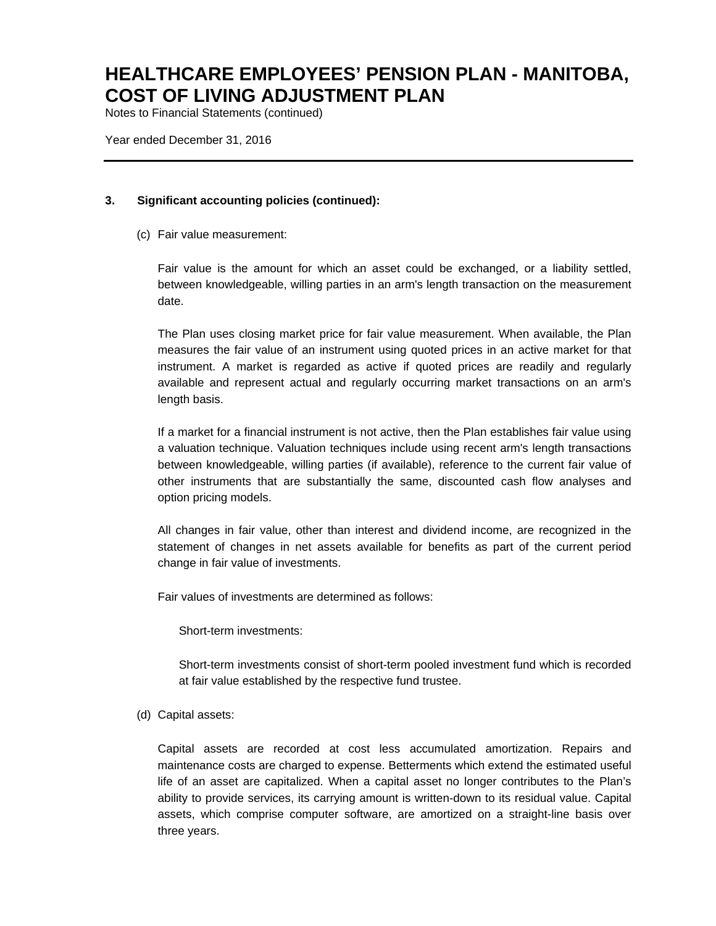Notes to Financial Statements (continued)

Year ended December 31, 2016

#### **3. Significant accounting policies (continued):**

(c) Fair value measurement:

Fair value is the amount for which an asset could be exchanged, or a liability settled, between knowledgeable, willing parties in an arm's length transaction on the measurement date.

The Plan uses closing market price for fair value measurement. When available, the Plan measures the fair value of an instrument using quoted prices in an active market for that instrument. A market is regarded as active if quoted prices are readily and regularly available and represent actual and regularly occurring market transactions on an arm's length basis.

If a market for a financial instrument is not active, then the Plan establishes fair value using a valuation technique. Valuation techniques include using recent arm's length transactions between knowledgeable, willing parties (if available), reference to the current fair value of other instruments that are substantially the same, discounted cash flow analyses and option pricing models.

All changes in fair value, other than interest and dividend income, are recognized in the statement of changes in net assets available for benefits as part of the current period change in fair value of investments.

Fair values of investments are determined as follows:

Short-term investments:

Short-term investments consist of short-term pooled investment fund which is recorded at fair value established by the respective fund trustee.

(d) Capital assets:

Capital assets are recorded at cost less accumulated amortization. Repairs and maintenance costs are charged to expense. Betterments which extend the estimated useful life of an asset are capitalized. When a capital asset no longer contributes to the Plan's ability to provide services, its carrying amount is written-down to its residual value. Capital assets, which comprise computer software, are amortized on a straight-line basis over three years.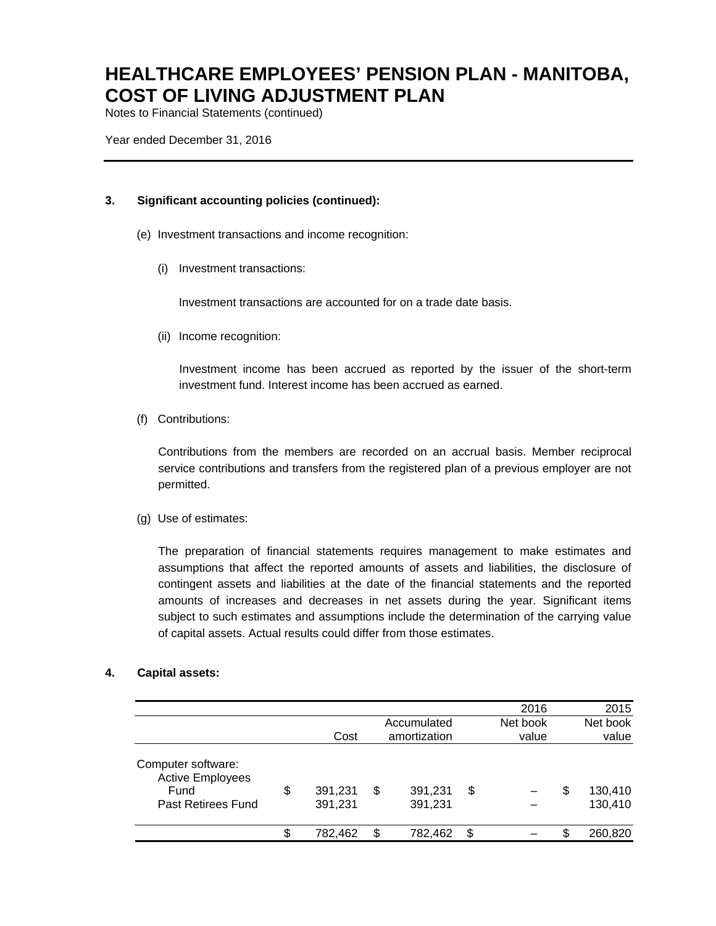Notes to Financial Statements (continued)

Year ended December 31, 2016

#### **3. Significant accounting policies (continued):**

- (e) Investment transactions and income recognition:
	- (i) Investment transactions:

Investment transactions are accounted for on a trade date basis.

(ii) Income recognition:

Investment income has been accrued as reported by the issuer of the short-term investment fund. Interest income has been accrued as earned.

(f) Contributions:

Contributions from the members are recorded on an accrual basis. Member reciprocal service contributions and transfers from the registered plan of a previous employer are not permitted.

(g) Use of estimates:

The preparation of financial statements requires management to make estimates and assumptions that affect the reported amounts of assets and liabilities, the disclosure of contingent assets and liabilities at the date of the financial statements and the reported amounts of increases and decreases in net assets during the year. Significant items subject to such estimates and assumptions include the determination of the carrying value of capital assets. Actual results could differ from those estimates.

### **4. Capital assets:**

|                                                                                    |                          |                             |    | 2016              |    | 2015               |
|------------------------------------------------------------------------------------|--------------------------|-----------------------------|----|-------------------|----|--------------------|
|                                                                                    | Cost                     | Accumulated<br>amortization |    | Net book<br>value |    | Net book<br>value  |
| Computer software:<br><b>Active Employees</b><br>Fund<br><b>Past Retirees Fund</b> | \$<br>391,231<br>391,231 | \$<br>391,231<br>391,231    | S  |                   | S  | 130,410<br>130,410 |
|                                                                                    | \$<br>782,462            | \$<br>782,462               | \$ |                   | \$ | 260,820            |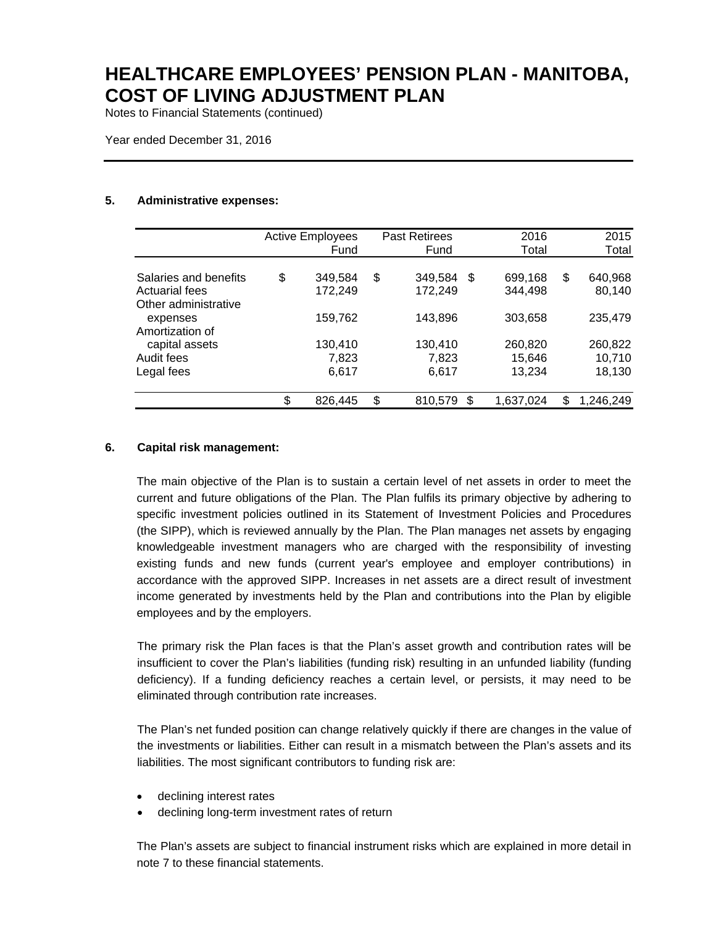Notes to Financial Statements (continued)

Year ended December 31, 2016

#### **5. Administrative expenses:**

|                                   | <b>Active Employees</b> | <b>Past Retirees</b> |      | 2016      | 2015            |
|-----------------------------------|-------------------------|----------------------|------|-----------|-----------------|
|                                   | Fund                    | Fund                 |      | Total     | Total           |
| Salaries and benefits             | \$<br>349,584           | \$<br>349,584        | - \$ | 699,168   | \$<br>640,968   |
| <b>Actuarial fees</b>             | 172,249                 | 172,249              |      | 344,498   | 80,140          |
| Other administrative              |                         |                      |      |           |                 |
| expenses                          | 159,762                 | 143,896              |      | 303,658   | 235,479         |
| Amortization of<br>capital assets | 130,410                 | 130,410              |      | 260,820   | 260,822         |
| Audit fees                        | 7,823                   | 7,823                |      | 15,646    | 10,710          |
| Legal fees                        | 6,617                   | 6,617                |      | 13,234    | 18,130          |
|                                   | \$<br>826,445           | \$<br>810,579        | -\$  | 1,637,024 | \$<br>1,246,249 |

### **6. Capital risk management:**

The main objective of the Plan is to sustain a certain level of net assets in order to meet the current and future obligations of the Plan. The Plan fulfils its primary objective by adhering to specific investment policies outlined in its Statement of Investment Policies and Procedures (the SIPP), which is reviewed annually by the Plan. The Plan manages net assets by engaging knowledgeable investment managers who are charged with the responsibility of investing existing funds and new funds (current year's employee and employer contributions) in accordance with the approved SIPP. Increases in net assets are a direct result of investment income generated by investments held by the Plan and contributions into the Plan by eligible employees and by the employers.

The primary risk the Plan faces is that the Plan's asset growth and contribution rates will be insufficient to cover the Plan's liabilities (funding risk) resulting in an unfunded liability (funding deficiency). If a funding deficiency reaches a certain level, or persists, it may need to be eliminated through contribution rate increases.

The Plan's net funded position can change relatively quickly if there are changes in the value of the investments or liabilities. Either can result in a mismatch between the Plan's assets and its liabilities. The most significant contributors to funding risk are:

- declining interest rates
- declining long-term investment rates of return

The Plan's assets are subject to financial instrument risks which are explained in more detail in note 7 to these financial statements.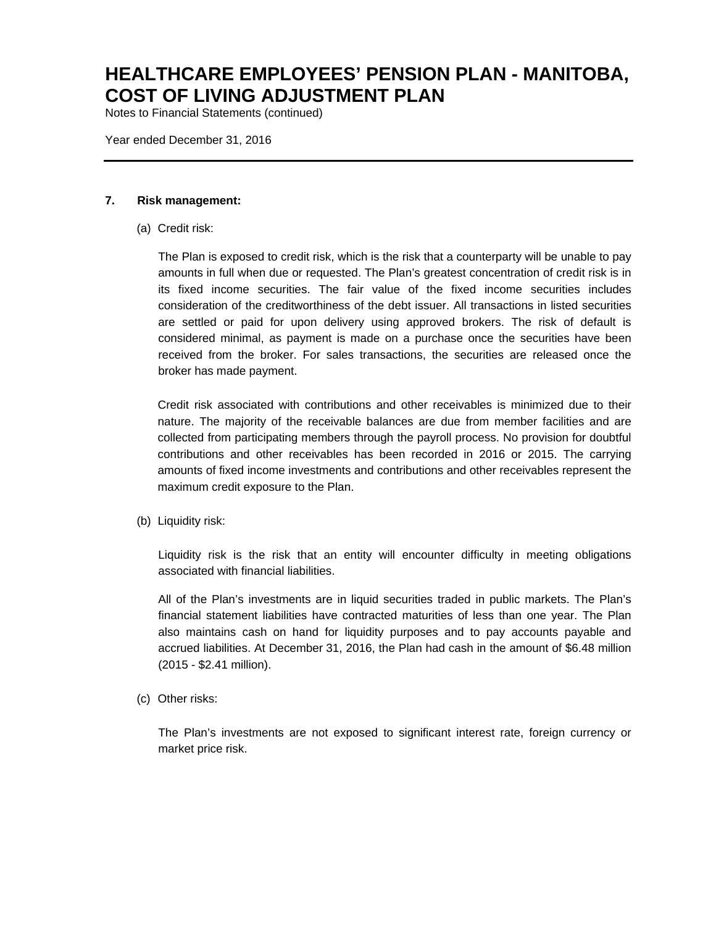Notes to Financial Statements (continued)

Year ended December 31, 2016

#### **7. Risk management:**

(a) Credit risk:

The Plan is exposed to credit risk, which is the risk that a counterparty will be unable to pay amounts in full when due or requested. The Plan's greatest concentration of credit risk is in its fixed income securities. The fair value of the fixed income securities includes consideration of the creditworthiness of the debt issuer. All transactions in listed securities are settled or paid for upon delivery using approved brokers. The risk of default is considered minimal, as payment is made on a purchase once the securities have been received from the broker. For sales transactions, the securities are released once the broker has made payment.

Credit risk associated with contributions and other receivables is minimized due to their nature. The majority of the receivable balances are due from member facilities and are collected from participating members through the payroll process. No provision for doubtful contributions and other receivables has been recorded in 2016 or 2015. The carrying amounts of fixed income investments and contributions and other receivables represent the maximum credit exposure to the Plan.

(b) Liquidity risk:

Liquidity risk is the risk that an entity will encounter difficulty in meeting obligations associated with financial liabilities.

All of the Plan's investments are in liquid securities traded in public markets. The Plan's financial statement liabilities have contracted maturities of less than one year. The Plan also maintains cash on hand for liquidity purposes and to pay accounts payable and accrued liabilities. At December 31, 2016, the Plan had cash in the amount of \$6.48 million (2015 - \$2.41 million).

(c) Other risks:

The Plan's investments are not exposed to significant interest rate, foreign currency or market price risk.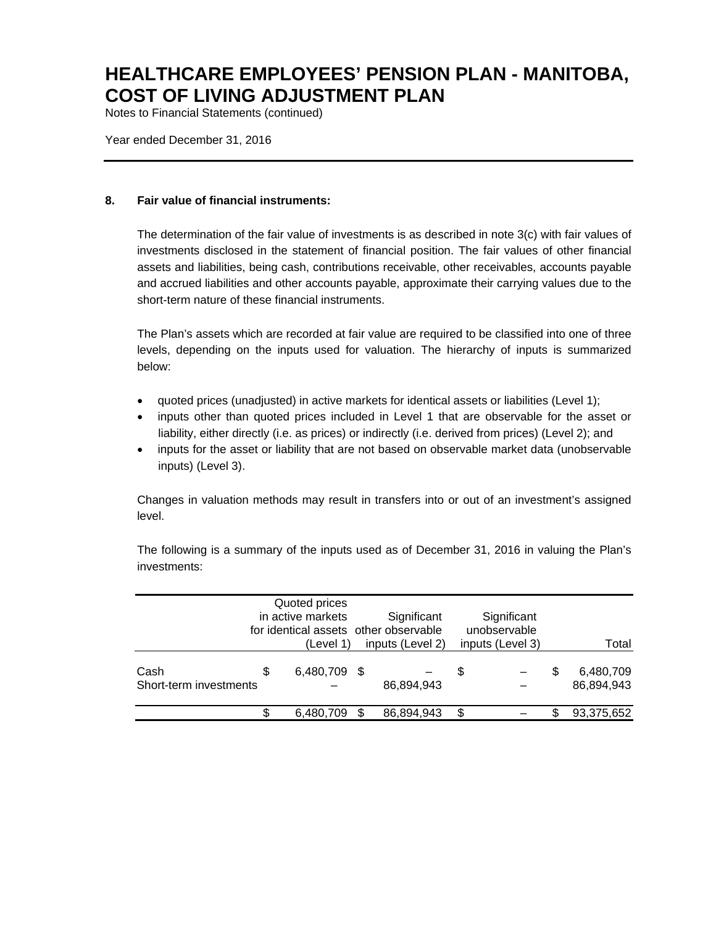Notes to Financial Statements (continued)

Year ended December 31, 2016

### **8. Fair value of financial instruments:**

The determination of the fair value of investments is as described in note 3(c) with fair values of investments disclosed in the statement of financial position. The fair values of other financial assets and liabilities, being cash, contributions receivable, other receivables, accounts payable and accrued liabilities and other accounts payable, approximate their carrying values due to the short-term nature of these financial instruments.

The Plan's assets which are recorded at fair value are required to be classified into one of three levels, depending on the inputs used for valuation. The hierarchy of inputs is summarized below:

- quoted prices (unadjusted) in active markets for identical assets or liabilities (Level 1);
- inputs other than quoted prices included in Level 1 that are observable for the asset or liability, either directly (i.e. as prices) or indirectly (i.e. derived from prices) (Level 2); and
- inputs for the asset or liability that are not based on observable market data (unobservable inputs) (Level 3).

Changes in valuation methods may result in transfers into or out of an investment's assigned level.

The following is a summary of the inputs used as of December 31, 2016 in valuing the Plan's investments:

|                                |   | Quoted prices<br>in active markets<br>(Level 1) |    | Significant<br>for identical assets other observable<br>inputs (Level 2) |    | Significant<br>unobservable<br>inputs (Level 3) | Total                   |
|--------------------------------|---|-------------------------------------------------|----|--------------------------------------------------------------------------|----|-------------------------------------------------|-------------------------|
| Cash<br>Short-term investments | S | 6,480,709 \$                                    |    | 86,894,943                                                               | S  |                                                 | 6,480,709<br>86,894,943 |
|                                |   | 6,480,709                                       | £. | 86,894,943                                                               | \$ |                                                 | 93,375,652              |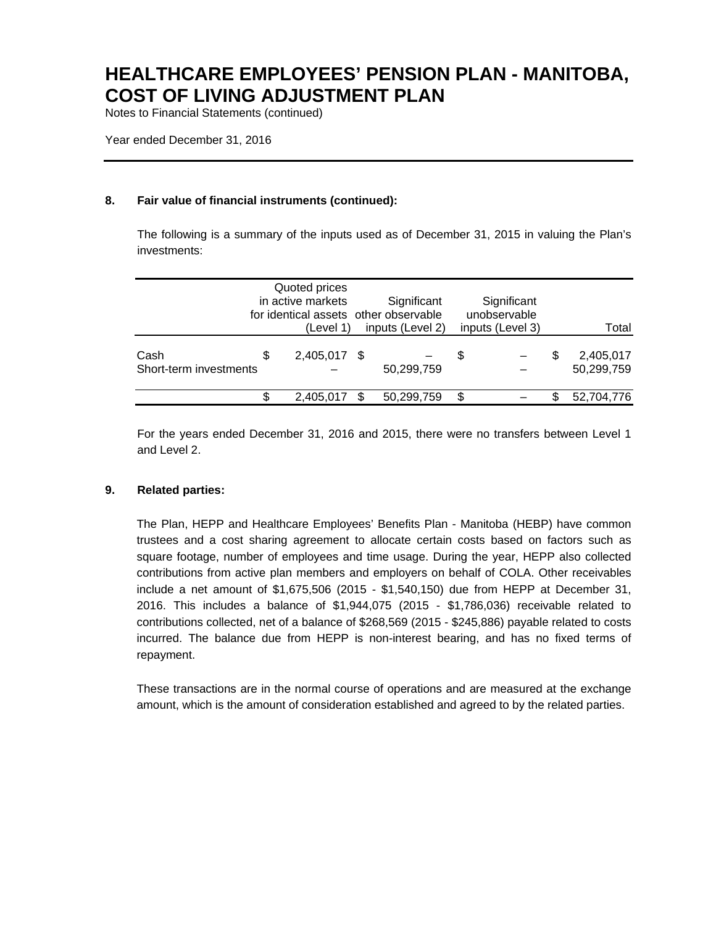Notes to Financial Statements (continued)

Year ended December 31, 2016

#### **8. Fair value of financial instruments (continued):**

The following is a summary of the inputs used as of December 31, 2015 in valuing the Plan's investments:

|                                |    | Quoted prices<br>in active markets<br>for identical assets other observable<br>(Level 1) | Significant<br>inputs (Level 2) |    | Significant<br>unobservable<br>inputs (Level 3) | Total                   |
|--------------------------------|----|------------------------------------------------------------------------------------------|---------------------------------|----|-------------------------------------------------|-------------------------|
| Cash<br>Short-term investments | \$ | 2,405,017 \$                                                                             | 50,299,759                      | S  |                                                 | 2,405,017<br>50,299,759 |
|                                | S  | 2,405,017                                                                                | 50,299,759                      | \$ |                                                 | 52,704,776              |

For the years ended December 31, 2016 and 2015, there were no transfers between Level 1 and Level 2.

### **9. Related parties:**

The Plan, HEPP and Healthcare Employees' Benefits Plan - Manitoba (HEBP) have common trustees and a cost sharing agreement to allocate certain costs based on factors such as square footage, number of employees and time usage. During the year, HEPP also collected contributions from active plan members and employers on behalf of COLA. Other receivables include a net amount of \$1,675,506 (2015 - \$1,540,150) due from HEPP at December 31, 2016. This includes a balance of \$1,944,075 (2015 - \$1,786,036) receivable related to contributions collected, net of a balance of \$268,569 (2015 - \$245,886) payable related to costs incurred. The balance due from HEPP is non-interest bearing, and has no fixed terms of repayment.

These transactions are in the normal course of operations and are measured at the exchange amount, which is the amount of consideration established and agreed to by the related parties.